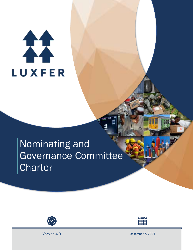# 11 **LUXFER**

# Nominating and Governance Committee **Charter**





Version 4.0 December 7, 2021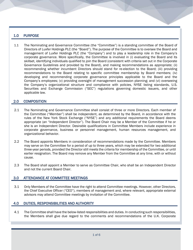# 1.0 PURPOSE

1.1 The Nominating and Governance Committee (the "Committee") is a standing committee of the Board of Directors of Luxfer Holdings PLC (the "Board"). The purpose of the Committee is to oversee the Board and management of Luxfer Holdings PLC (the "Company") and to play a leadership role in the Company's corporate governance. More specifically, the Committee is involved in (i) evaluating the Board and its skillset, identifying individuals qualified to join the Board (consistent with criteria set out in the Corporate Governance Guidelines and provided by the Board), and making recommendations as appropriate; (ii) recommending whether incumbent Directors should stand for re-election to the Board; (iii) providing recommendations to the Board relating to specific committee membership by Board members; (iv) developing and recommending corporate governance principles applicable to the Board and the Company's employees; (v) providing oversight of management succession planning; and (vi) overseeing the Company's organizational structure and compliance with policies, NYSE listing standards, U.S. Securities and Exchange Commission ("SEC") regulations governing domestic issuers, and other applicable law.

# 2.0 COMPOSITION

- 2.1 The Nominating and Governance Committee shall consist of three or more Directors. Each member of the Committee ("Member") shall be independent, as determined by the Board, in accordance with the rules of the New York Stock Exchange ("NYSE") and any additional requirements the Board deems appropriate (an "Independent Director"). The Board Chair may be a Member of the Committee if he or she is an Independent Director. Desirable qualifications in Committee Members include experience in corporate governance, business or personnel management, human resources management, and organizational behavior.
- 2.2 The Board appoints Members in consideration of recommendations made by the Committee. Members may serve on the Committee for a period of up to three years, which may be extended for two additional three-year periods, provided the Director still meets the criteria for membership of the Committee, or until earlier resignation. The Board may remove any Member from the Committee at any time, with or without cause.
- 2.3 The Board shall appoint a Member to serve as Committee Chair, who shall be an Independent Director and not the current Board Chair.

## 3.0 ATTENDANCE AT COMMITTEE MEETINGS

3.1 Only Members of the Committee have the right to attend Committee meetings. However, other Directors, the Chief Executive Officer ("CEO"), members of management and, where relevant, appropriate external advisors may attend Committee meetings by invitation of the Committee.

# 4.0 DUTIES, RESPONSIBILITIES AND AUTHORITY

4.1 The Committee shall have the below-listed responsibilities and duties. In conducting such responsibilities, the Members shall give due regard to the comments and recommendations of the U.K. Corporate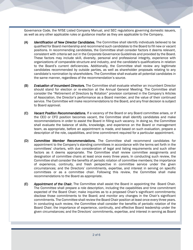Governance Code, the NYSE Listed Company Manual, and SEC regulations governing domestic issuers, as well as any other applicable rules or guidance insofar as they are applicable to the Company.

- (A) *Identification of New Director Candidates.* The Committee shall identify individuals believed to be qualified for Board membership and recommend such candidates to the Board to fill new or vacant positions. In recommending candidates, the Committee shall consider factors it deems relevant, consistent with criteria set out in the Corporate Governance Guidelines and provided by the Board. These factors may include skill, diversity, personal and professional integrity, experience with organizations of comparable structure and industry, and the candidate's qualifications in relation to the Board's current deficiencies. Additionally, the Committee shall review any legitimate candidates recommended by outside parties, as well as shareholder proposals relating to any candidate's nomination by shareholders. The Committee shall evaluate all potential candidates in the same manner, regardless of the recommendation's source.
- (B) *Evaluation of Incumbent Directors.* The Committee shall evaluate whether an incumbent Director should stand for election or re-election at the Annual General Meeting. The Committee shall consider the "Retirement of Directors by Rotation" provision contained in the Company's Articles of Association, the Director's performance as a Board member, and the value of their continued service. The Committee will make recommendations to the Board, and any final decision is subject to Board approval.
- (C) *Vacant Position Recommendations.* If a vacancy of the Board or any Board committee arises, or if the CEO or CFO position becomes vacant, the Committee shall identify candidates and make recommendations in order to assist the Board in filling such vacancy. In doing so, the Committee shall evaluate the balance of skills, knowledge, and experience on the Board or management team, as appropriate, before an appointment is made, and based on such evaluation, prepare a description of the role, capabilities, and time commitment required for a particular appointment.
- (D) *Committee Member Recommendations.* The Committee shall recommend candidates for appointment to the Company's standing committees in accordance with the terms set forth in the committees' charters, with due consideration of legal and listing requirements and such other factors as it deems appropriate. The Committee shall review committee assignments and designation of committee chairs at least once every three years. In conducting such review, the Committee shall consider the benefits of periodic rotation of committee members; the importance of experience, continuity, and fresh perspective in committee service under the given circumstances; and the Directors' commitments, expertise, and interest in serving on specific committees or as a committee chair. Following this review, the Committee shall make recommendations to the Board as appropriate.
- (E) *Appointment of the Chair.* The Committee shall assist the Board in appointing the Board Chair. The Committee shall prepare a role description, including the capabilities and time commitment expected of the Board Chair; make inquiries as to a proposed Chair's significant commitments; disclose those commitments to the Board; and monitor any changes in the Chair's significant commitments. The Committee shall review the Board Chair position at least once every three years. In conducting such review, the Committee shall consider the benefits of periodic rotation of the Board Chair; the importance of experience, continuity, and effective Board leadership under the given circumstances; and the Directors' commitments, expertise, and interest in serving as Board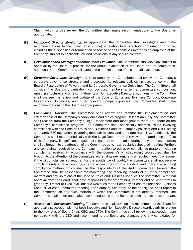Chair. Following this review, the Committee shall make recommendations to the Board as appropriate.

- (F) *Incumbent Director Monitoring.* As appropriate, the Committee shall investigate and make recommendations to the Board (at any time) in relation to a Director's continuation in office, including the suspension or termination of service of an Executive Director as an employee of the Company, subject to applicable law and provisions of any service contract.
- (G) *Development and Oversight of Annual Board Evaluation.* The Committee shall develop, subject to approval by the Board, a process for the annual evaluation of the Board and its committees. Additionally, the Committee shall oversee the administration of this annual evaluation.
- (H) *Corporate Governance Oversight.* At least annually, the Committee shall review the Company's corporate governance structure and processes; its relevant policies (in accordance with the Board's Reservation of Powers); and its Corporate Governance Guidelines. The Committee shall consider the Board's organization, composition, membership terms, committee composition, meeting structure, and time commitments of Non-Executive Directors. Additionally, the Committee shall oversee the review and update of the Code of Ethics and Business Conduct, Corporate Governance Guidelines, and other relevant Company policies. The Committee shall make recommendations to the Board as appropriate.
- (I) *Compliance Oversight.* The Committee shall review and monitor the implementation and effectiveness of the Company's compliance and ethics program. At least annually, the Committee shall receive from the Company's Legal Department and management team an update on the Company's compliance program. The Committee shall specifically address issues involving compliance with the Code of Ethics and Business Conduct; Company policies; and NYSE listing standards, SEC regulations governing domestic issuers, and other applicable law. Additionally, the Committee shall meet periodically with the Legal Department to review the material legal affairs of the Company. If significant litigation or regulatory matters arise during the year, those matters shall be brought to the attention of the Committee at its next regularly scheduled meeting. Further, any complaints received by the Company in relation to ethics or compliance matters, including complaints received in accordance with the Company's whistleblowing procedures, shall be brought to the attention of the Committee, either at its next regularly scheduled meeting or sooner if the circumstances so require. For the avoidance of doubt, the Committee shall not receive complaints related to accounting, internal accounting controls, auditing, and financial or auditing compliance matters, which shall be the responsibility of the Audit Committee. However, the Committee shall be responsible for monitoring and receiving reports of all other compliance matters and any violations of the Code of Ethics and Business Conduct. The Committee, with final approval from the Board, shall have responsibility for determining whether and on what terms to grant any Director or Executive Officer a waiver as to the Company's Code of Ethics and Business Conduct. At each Committee meeting, the Company Secretary, or their designee, shall report to the Committee on any such matters in which the Committee is not already informed. The Committee shall report and make recommendations to the Board on such matters as appropriate.
- (J) *Assistance in Succession Planning.* The Committee shall develop and recommend to the Board for approval a succession plan for both Executive and Non-Executive Directors (particularly in relation to the key roles of Board Chair, CEO, and CFO). The Committee shall review the succession plan periodically with the CEO and recommend to the Board any changes and any candidates for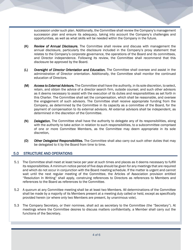succession under such plan. Additionally, the Committee shall review the Company's management succession plan and ensure its adequacy, taking into account the Company's challenges and opportunities, as well as what skills will be needed within the Company in the future.

- (K) *Review of Annual Disclosure.* The Committee shall review and discuss with management the annual disclosure, particularly the disclosure included in the Company's proxy statement that relates to the Company's corporate governance, the operations of the Board and its committees, and Director independence. Following its review, the Committee shall recommend that this disclosure be approved by the Board.
- (L) *Oversight of Director Orientation and Education.* The Committee shall oversee and assist in the administration of Director orientation. Additionally, the Committee shall monitor the continued education of Directors.
- (M) *Access to External Advisors.* The Committee shall have the authority, in its sole discretion, to select, retain, and obtain the advice of a director search firm, outside counsel, and such other advisors as it deems necessary to assist with the execution of its duties and responsibilities as set forth in this Charter. The Committee shall set the compensation, which shall be reasonable, and oversee the engagement of such advisors. The Committee shall receive appropriate funding from the Company, as determined by the Committee in its capacity as a committee of the Board, for the payment of compensation to its external advisors. All external advisors shall be independent, as determined in the discretion of the Committee.
- (N) *Delegation.* The Committee shall have the authority to delegate any of its responsibilities, along with the authority to take action in relation to such responsibilities, to a subcommittee comprised of one or more Committee Members, as the Committee may deem appropriate in its sole discretion*.*
- (O) *Other Delegated Responsibilities.* The Committee shall also carry out such other duties that may be delegated to it by the Board from time to time.

## 5.0 STRUCTURE AND OPERATIONS

- 5.1 The Committee shall meet at least twice per year at such times and places as it deems necessary to fulfill its responsibilities. A minimum notice period of five days should be given for any meetings that are required and which do not occur in conjunction with the Board meeting schedule. If the matter is urgent and cannot wait until the next regular meeting of the Committee, the Articles of Association provision entitled "Resolution In Writing" shall apply, construing references to Directors as references to Members and references to the Board as references to the Committee.
- 5.2 A quorum at any Committee meeting shall be at least two Members. All determinations of the Committee shall be made by a majority of its Members present at a meeting duly called or held, except as specifically provided herein (or where only two Members are present, by unanimous vote).
- 5.3 The Company Secretary, or their nominee, shall act as secretary to the Committee (the "Secretary"). At meetings where the Committee desires to discuss matters confidentially, a Member shall carry out the functions of the Secretary.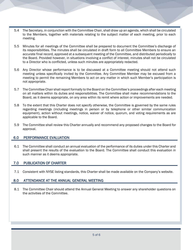- 5.4 The Secretary, in conjunction with the Committee Chair, shall draw up an agenda, which shall be circulated to the Members, together with materials relating to the subject matter of each meeting, prior to each meeting.
- 5.5 Minutes for all meetings of the Committee shall be prepared to document the Committee's discharge of its responsibilities. The minutes shall be circulated in draft form to all Committee Members to ensure an accurate final record, approved at a subsequent meeting of the Committee, and distributed periodically to the Board. Provided however, in situations involving a conflict of interest, minutes shall not be circulated to a Director who is conflicted, unless such minutes are appropriately redacted.
- 5.6 Any Director whose performance is to be discussed at a Committee meeting should not attend such meeting unless specifically invited by the Committee. Any Committee Member may be excused from a meeting to permit the remaining Members to act on any matter in which such Member's participation is not appropriate.
- 5.7 The Committee Chair shall report formally to the Board on the Committee's proceedings after each meeting on all matters within its duties and responsibilities. The Committee shall make recommendations to the Board, as it deems appropriate, on any area within its remit where action or improvements are needed.
- 5.8 To the extent that this Charter does not specify otherwise, the Committee is governed by the same rules regarding meetings (including meetings in person or by telephone or other similar communication equipment), action without meetings, notice, waiver of notice, quorum, and voting requirements as are applicable to the Board.
- 5.9 The Committee shall review this Charter annually and recommend any proposed changes to the Board for approval.

## 6.0 PERFORMANCE EVALUATION

6.1 The Committee shall conduct an annual evaluation of the performance of its duties under this Charter and shall present the results of the evaluation to the Board. The Committee shall conduct this evaluation in such manner as it deems appropriate.

## 7.0 PUBLICATION OF CHARTER

7.1 Consistent with NYSE listing standards, this Charter shall be made available on the Company's website.

#### 8.0 ATTENDANCE AT THE ANNUAL GENERAL MEETING

8.1 The Committee Chair should attend the Annual General Meeting to answer any shareholder questions on the activities of the Committee.